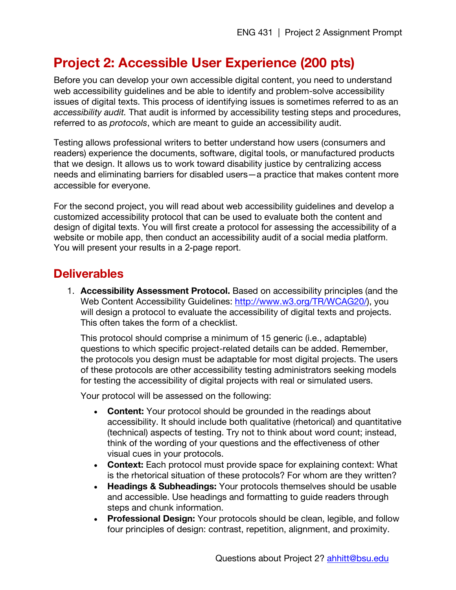## **Project 2: Accessible User Experience (200 pts)**

Before you can develop your own accessible digital content, you need to understand web accessibility guidelines and be able to identify and problem-solve accessibility issues of digital texts. This process of identifying issues is sometimes referred to as an *accessibility audit.* That audit is informed by accessibility testing steps and procedures, referred to as *protocols*, which are meant to guide an accessibility audit.

Testing allows professional writers to better understand how users (consumers and readers) experience the documents, software, digital tools, or manufactured products that we design. It allows us to work toward disability justice by centralizing access needs and eliminating barriers for disabled users—a practice that makes content more accessible for everyone.

For the second project, you will read about web accessibility guidelines and develop a customized accessibility protocol that can be used to evaluate both the content and design of digital texts. You will first create a protocol for assessing the accessibility of a website or mobile app, then conduct an accessibility audit of a social media platform. You will present your results in a 2-page report.

## **Deliverables**

1. **Accessibility Assessment Protocol.** Based on accessibility principles (and the Web Content Accessibility Guidelines: http://www.w3.org/TR/WCAG20/), you will design a protocol to evaluate the accessibility of digital texts and projects. This often takes the form of a checklist.

This protocol should comprise a minimum of 15 generic (i.e., adaptable) questions to which specific project-related details can be added. Remember, the protocols you design must be adaptable for most digital projects. The users of these protocols are other accessibility testing administrators seeking models for testing the accessibility of digital projects with real or simulated users.

Your protocol will be assessed on the following:

- **Content:** Your protocol should be grounded in the readings about accessibility. It should include both qualitative (rhetorical) and quantitative (technical) aspects of testing. Try not to think about word count; instead, think of the wording of your questions and the effectiveness of other visual cues in your protocols.
- **Context:** Each protocol must provide space for explaining context: What is the rhetorical situation of these protocols? For whom are they written?
- **Headings & Subheadings:** Your protocols themselves should be usable and accessible. Use headings and formatting to guide readers through steps and chunk information.
- **Professional Design:** Your protocols should be clean, legible, and follow four principles of design: contrast, repetition, alignment, and proximity.